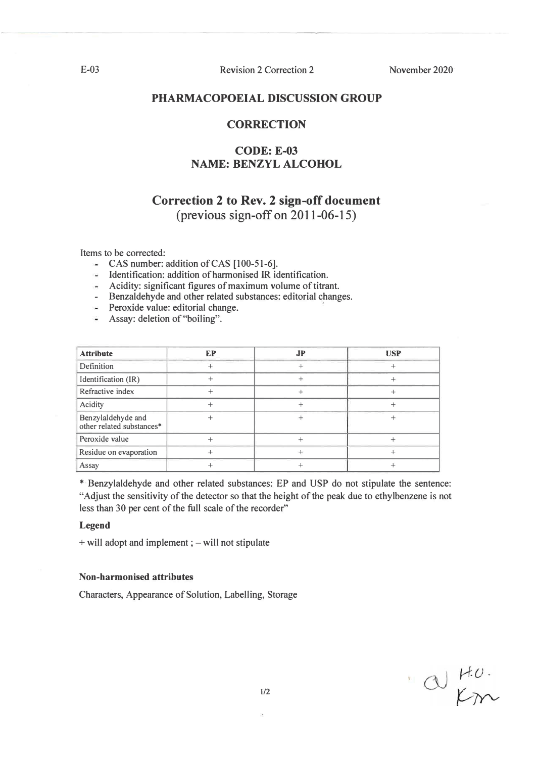**Revision 2 Correction 2** 

November 2020

## PHARMACOPOEIAL DISCUSSION GROUP

## **CORRECTION**

# **CODE: E-03 NAME: BENZYL ALCOHOL**

# **Correction 2 to Rev. 2 sign-off document**

(previous sign-off on  $2011-06-15$ )

Items to be corrected:

- CAS number: addition of CAS  $[100-51-6]$ .
- Identification: addition of harmonised IR identification.
- $\blacksquare$  Acidity: significant figures of maximum volume of titrant.
- Benzaldehyde and other related substances: editorial changes.
- Peroxide value: editorial change.
- Assay: deletion of "boiling".

| <b>Attribute</b>                                | EP | <b>JP</b> | <b>USP</b> |
|-------------------------------------------------|----|-----------|------------|
| Definition                                      |    |           |            |
| Identification (IR)                             |    |           |            |
| Refractive index                                |    |           |            |
| Acidity                                         |    |           |            |
| Benzylaldehyde and<br>other related substances* |    |           |            |
| Peroxide value                                  |    |           |            |
| Residue on evaporation                          |    |           |            |
| Assay                                           |    |           |            |

\* Benzylaldehyde and other related substances: EP and USP do not stipulate the sentence: "Adjust the sensitivity of the detector so that the height of the peak due to ethylbenzene is not less than 30 per cent of the full scale of the recorder"

#### **Legend**

+ will adopt and implement ; – will not stipulate

## Non-harmonised attributes

Characters, Appearance of Solution, Labelling, Storage

 $\alpha$   $\mu$ 

 $E-03$ 

 $1/2$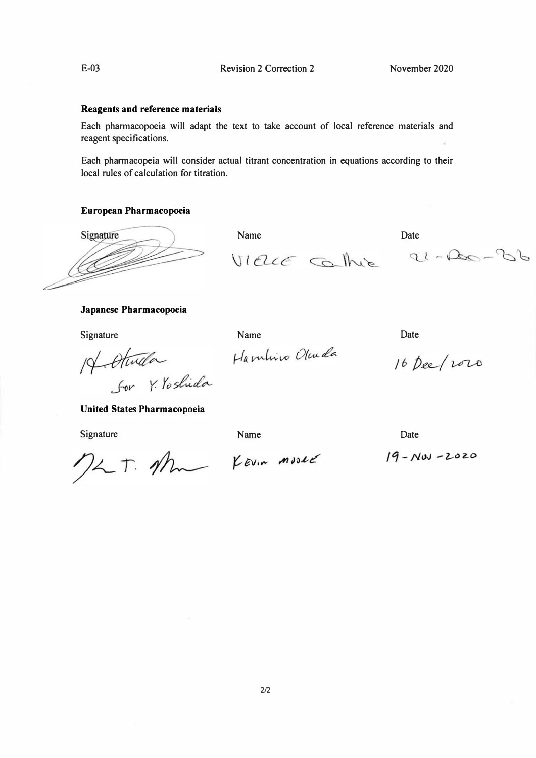## **Reagents and reference materials**

Each pharmacopoeia will adapt the text to take account of local reference materials and **reagent specifications.** 

**Each pharmacopeia** will **consider actual titrant concentration in equations according to their local rules of calculation for titration.** 

Name Date **Date** 

Name Date

## **European Pharmacopoeia**

Signature

## **Japanese Pharmacopoeia**

**Signature** 

Hambrico Olcuda 14 Atwila For Y. Yoshida

**United States Pharmacopoeia** 

**Signature** 

Name Date **Date** 

VIELLE Contre 21-20-36

16 Dee/2020

 $19 - NW - 2020$ 

MLT. Am Kevin moved

**2/2**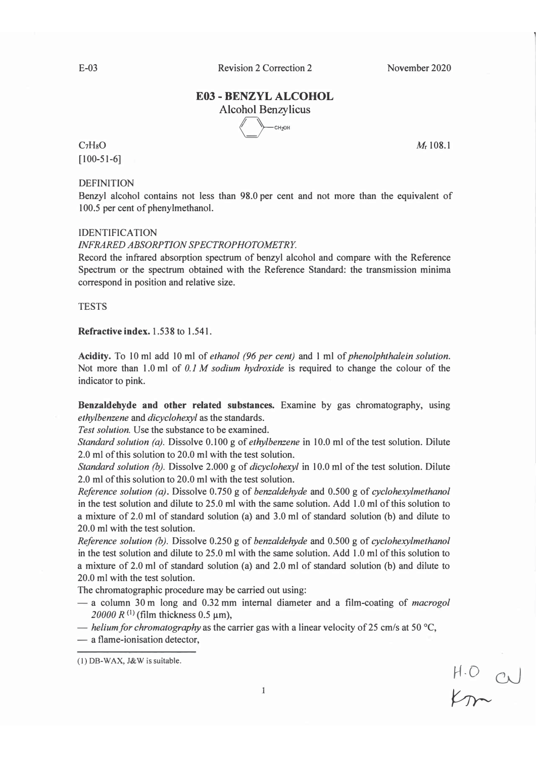November 2020

# **E03 - BENZYL ALCOHOL**

**Alcohol Benzylicus CH<sub>2</sub>OH** 

# $C_7H_8O$  $[100-51-6]$

**DEFINITION** 

Benzyl alcohol contains not less than 98.0 per cent and not more than the equivalent of 100.5 per cent of phenylmethanol.

## **IDENTIFICATION**

## **INFRARED ABSORPTION SPECTROPHOTOMETRY.**

Record the infrared absorption spectrum of benzyl alcohol and compare with the Reference Spectrum or the spectrum obtained with the Reference Standard: the transmission minima correspond in position and relative size.

## **TESTS**

## Refractive index, 1.538 to 1.541.

Acidity. To 10 ml add 10 ml of ethanol (96 per cent) and 1 ml of phenolphthalein solution. Not more than 1.0 ml of  $0.1 M$  sodium hydroxide is required to change the colour of the indicator to pink.

Benzaldehyde and other related substances. Examine by gas chromatography, using ethylbenzene and dicyclohexyl as the standards.

Test solution. Use the substance to be examined.

Standard solution (a). Dissolve  $0.100$  g of *ethylbenzene* in 10.0 ml of the test solution. Dilute 2.0 ml of this solution to 20.0 ml with the test solution.

Standard solution (b). Dissolve 2.000 g of dicyclohexyl in 10.0 ml of the test solution. Dilute 2.0 ml of this solution to 20.0 ml with the test solution.

Reference solution (a). Dissolve 0.750 g of benzaldehyde and 0.500 g of cyclohexylmethanol in the test solution and dilute to 25.0 ml with the same solution. Add 1.0 ml of this solution to a mixture of 2.0 ml of standard solution (a) and 3.0 ml of standard solution (b) and dilute to 20.0 ml with the test solution

Reference solution (b). Dissolve 0.250 g of benzaldehyde and 0.500 g of cyclohexylmethanol in the test solution and dilute to 25.0 ml with the same solution. Add 1.0 ml of this solution to a mixture of 2.0 ml of standard solution (a) and 2.0 ml of standard solution (b) and dilute to 20.0 ml with the test solution.

The chromatographic procedure may be carried out using:

- $-$  a column 30 m long and 0.32 mm internal diameter and a film-coating of *macrogol* 20000 R<sup>(1)</sup> (film thickness 0.5  $\mu$ m),
- helium for chromatography as the carrier gas with a linear velocity of 25 cm/s at 50  $^{\circ}$ C,
- a flame-ionisation detector.

 $H.O$  a

 $M_{\rm r}$  108.1

<sup>(1)</sup> DB-WAX, J&W is suitable.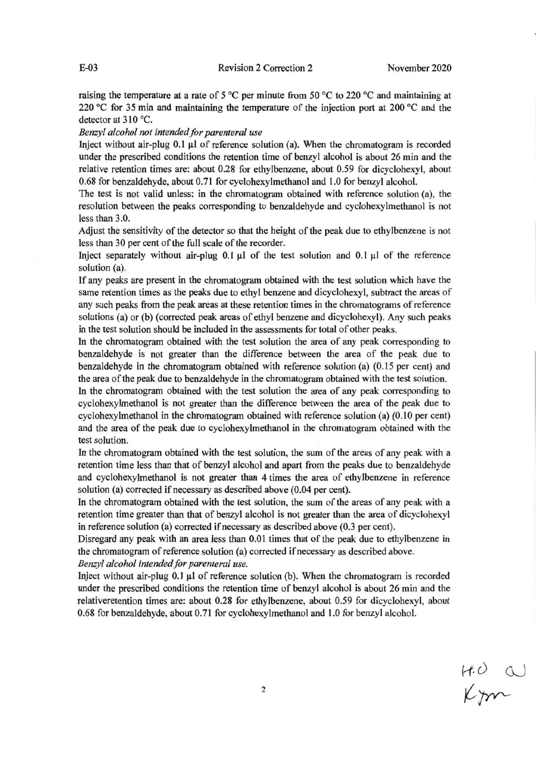raising the temperature at a rate of 5 °C per minute from 50 °C to 220 °C and maintaining at 220 °C for 35 min and maintaining the temperature of the injection port at 200 °C and the detector at  $310^{\circ}$ C.

#### Benzyl alcohol not intended for parenteral use

Inject without air-plug 0.1 µl of reference solution (a). When the chromatogram is recorded under the prescribed conditions the retention time of benzyl alcohol is about 26 min and the relative retention times are: about 0.28 for ethylbenzene, about 0.59 for dicyclohexyl, about 0.68 for benzaldehyde, about 0.71 for cyclohexylmethanol and 1.0 for benzyl alcohol.

The test is not valid unless: in the chromatogram obtained with reference solution (a), the resolution between the peaks corresponding to benzaldehyde and cyclohexylmethanol is not less than 3.0.

Adjust the sensitivity of the detector so that the height of the peak due to ethylbenzene is not less than 30 per cent of the full scale of the recorder.

Inject separately without air-plug  $0.1 \mu$  of the test solution and  $0.1 \mu$  of the reference solution (a).

If any peaks are present in the chromatogram obtained with the test solution which have the same retention times as the peaks due to ethyl benzene and dicyclohexyl, subtract the areas of any such peaks from the peak areas at these retention times in the chromatograms of reference solutions (a) or (b) (corrected peak areas of ethyl benzene and dicyclohexyl). Any such peaks in the test solution should be included in the assessments for total of other peaks.

In the chromatogram obtained with the test solution the area of any peak corresponding to benzaldehyde is not greater than the difference between the area of the peak due to benzaldehyde in the chromatogram obtained with reference solution (a) (0.15 per cent) and the area of the peak due to benzalde hyde in the chromatogram obtained with the test solution.

In the chromatogram obtained with the test solution the area of any peak corresponding to cyclohexylmethanol is not greater than the difference between the area of the peak due to cyclohexylmethanol in the chromatogram obtained with reference solution (a) (0.10 per cent) and the area of the peak due to cyclohexylmethanol in the chromatogram obtained with the test solution.

In the chromatogram obtained with the test solution, the sum of the areas of any peak with a retention time less than that of benzyl alcohol and apart from the peaks due to benzaldehyde and cyclohexylmethanol is not greater than 4 times the area of ethylbenzene in reference solution (a) corrected if necessary as described above (0.04 per cent).

In the chromatogram obtained with the test solution, the sum of the areas of any peak with a retention time greater than that of benzyl alcohol is not greater than the area of dicyclohexyl in reference solution (a) corrected if necessary as described above (0.3 per cent).

Disregard any peak with an area less than 0.01 times that of the peak due to ethylbenzene in the chromatogram of reference solution (a) corrected if necessary as described above.

Benzyl alcohol intended for parenteral use.

Inject without air-plug 0.1 µl of reference solution (b). When the chromatogram is recorded under the prescribed conditions the retention time of benzyl alcohol is about 26 min and the relativeretention times are: about 0.28 for ethylbenzene, about 0.59 for dicyclohexyl, about 0.68 for benzaldehyde, about 0.71 for cyclohexylmethanol and 1.0 for benzyl alcohol.

 $H.O$  a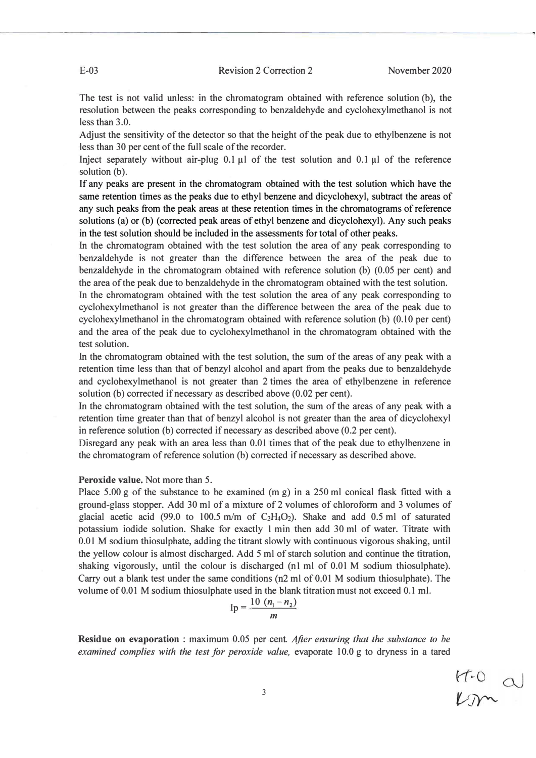$\frac{H-0}{L}$ a

The test is not valid unless: in the chromatogram obtained with reference solution (b), the resolution between the peaks corresponding to benzaldehyde and cyclohexylmethanol is not less than  $3.0$ .

Adjust the sensitivity of the detector so that the height of the peak due to ethylbenzene is not less than 30 per cent of the full scale of the recorder.

Inject separately without air-plug 0.1  $\mu$ l of the test solution and 0.1  $\mu$ l of the reference solution (b).

If any peaks are present in the chromatogram obtained with the test solution which have the same retention times as the peaks due to ethyl benzene and dicyclohexyl, subtract the areas of any such peaks from the peak areas at these retention times in the chromatograms of reference solutions (a) or (b) (corrected peak areas of ethyl benzene and dicyclohexyl). Any such peaks in the test solution should be included in the assessments for total of other peaks.

In the chromatogram obtained with the test solution the area of any peak corresponding to benzaldehyde is not greater than the difference between the area of the peak due to benzaldehyde in the chromatogram obtained with reference solution (b)  $(0.05$  per cent) and the area of the peak due to benzaldehyde in the chromatogram obtained with the test solution. In the chromatogram obtained with the test solution the area of any peak corresponding to

cyclohexylmethanol is not greater than the difference between the area of the peak due to cyclohexylmethanol in the chromatogram obtained with reference solution (b)  $(0.10$  per cent) and the area of the peak due to cyclohexylmethanol in the chromatogram obtained with the test solution.

In the chromatogram obtained with the test solution, the sum of the areas of any peak with a retention time less than that of benzyl alcohol and apart from the peaks due to benzaldehyde and cyclohexylmethanol is not greater than  $2$  times the area of ethylbenzene in reference solution (b) corrected if necessary as described above  $(0.02$  per cent).

In the chromatogram obtained with the test solution, the sum of the areas of any peak with a retention time greater than that of benzyl alcohol is not greater than the area of dicyclohexyl in reference solution (b) corrected if necessary as described above  $(0.2 \text{ per cent})$ .

Disregard any peak with an area less than  $0.01$  times that of the peak due to ethylbenzene in the chromatogram of reference solution (b) corrected if necessary as described above.

## Peroxide value. Not more than 5.

Place 5.00 g of the substance to be examined (m g) in a 250 ml conical flask fitted with a ground-glass stopper. Add 30 ml of a mixture of 2 volumes of chloroform and 3 volumes of glacial acetic acid (99.0 to 100.5 m/m of  $C_2H_4O_2$ ). Shake and add 0.5 ml of saturated potassium iodide solution. Shake for exactly 1 min then add 30 ml of water. Titrate with  $\,0.01\,$ M sodium thiosulphate, adding the titrant slowly with continuous vigorous shaking, until the yellow colour is almost discharged. Add 5 ml of starch solution and continue the titration, shaking vigorously, until the colour is discharged (n1 ml of  $0.01$  M sodium thiosulphate). Carry out a blank test under the same conditions (n2 ml of 0.01 M sodium thiosulphate). The volume of  $0.01\ \text{M}$  sodium thiosulphate used in the blank titration must not exceed  $0.1\ \text{m}$ .

$$
Ip = \frac{10 (n_1 - n_2)}{m}
$$

**Residue on evaporation**: maximum 0.05 per cent. After ensuring that the substance to be examined complies with the test for peroxide value, evaporate 10.0 g to dryness in a tared

**-**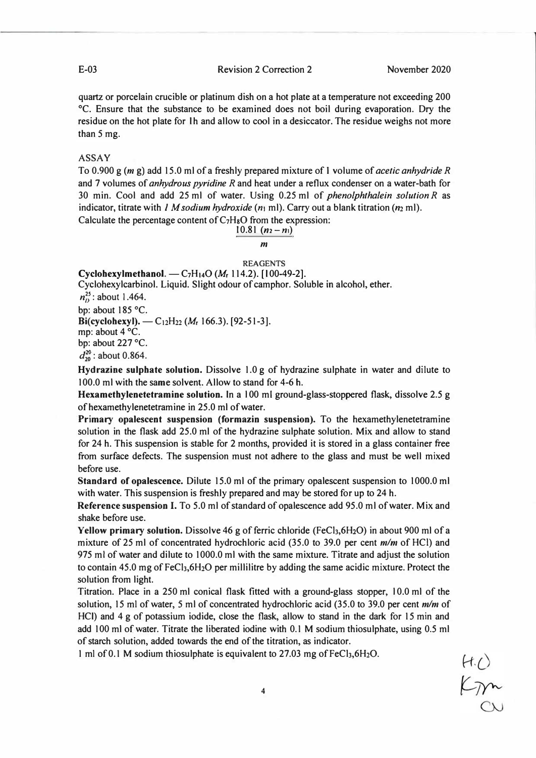**E-03 Revision 2 Correction 2 November 2020** 

**quartz or porcelain crucible or platinum dish on a hot plate at a temperature not exceeding 200 �C. Ensure that the substance to be examined does not boil during evaporation. Dry the residue on the hot plate for I h and allow to cool in a desiccator. The residue weighs not more than** *5* **mg.** 

**ASSAY** 

**To 0.900 g** *(mg)* **add 15.0 ml of a freshly prepared mixture of 1 volume of** *acetic anhydride R*  **and 7 volumes of** *anhydrous pyridine R* **and heat under a reflux condenser on a water-bath for 30 min. Cool and add 25 ml of water. Using 0.25 ml of** *phenolphthalein solution R* **as**  indicator, titrate with *1 M sodium hydroxide* ( $n_1$  ml). Carry out a blank titration ( $n_2$  ml).

Calculate the percentage content of C<sub>7</sub>H<sub>8</sub>O from the expression: **10.81**  $(n_2 - n_1)$ 

# *m*

#### **REAGENTS**

**Cyclohexylmethanol.**  $-C_7H_{14}O(M_r 114.2)$ . [100-49-2].

**Cyclohexylcarbinol. Liquid. Slight odour of camphor. Soluble in alcohol, ether.** 

 $n_0^{25}$ : about 1.464.

**bp: about 185 °C.** 

**Bi(cyclohexyl). -C12H22 (Mr 166.3). [92-51-3].** 

**mp: about 4 °C.** 

**bp: about 227 °C.** 

 $d_{20}^{20}$ : about 0.864.

**Hydrazine sulphate solution. Dissolve 1.0 g of hydrazine sulphate in water and dilute to 100.0 ml with the same solven�. Allow to stand for 4-6 b.** 

Hexamethylenetetramine solution. In a 100 ml ground-glass-stoppered flask, dissolve 2.5 g **ofhexamethylenetetramine in 25.0 ml of water.** 

**Primary opalescent suspension (formazin suspension). To the hexamethylenetetramine solution in the flask add 25.0 ml of the hydrazine sulphate solution. Mix and allow to stand for 24 h. This suspension is stable for 2 months, provided it is stored in a glass container free from surface defects. The suspension must not adhere to the glass and must be well mixed before use.** 

**Standard of opalescence. Dilute 15.0 ml of the primary opalescent suspension to 1000.0 ml with water. This suspension is freshly prepared and may be stored for up to 24 h.** 

**Reference suspension I. To 5.0 ml of standard of opalescence add 95.0 ml of water. Mix and shake before use.** 

**Yellow primary solution.** Dissolve 46 g of ferric chloride (FeCl<sub>3</sub>,6H<sub>2</sub>O) in about 900 ml of a **mixture of 25 ml of concentrated hydrochloric acid (35.0 to 39.0 per cent** *mlm* **of HCI) and 975 ml of water and dilute to 1000.0 ml with the same mixture. Titrate and adjust the solution**  to contain 45.0 mg of FeCl<sub>3</sub>,6H<sub>2</sub>O per millilitre by adding the same acidic mixture. Protect the **solution from light.** 

**Titration. Place in a 250 ml conical flask fitted with a ground-glass stopper, l 0.0 ml of the solution, 15 ml of water,** *5* **ml of concentrated hydrochloric acid (35.0 to 39.0 per cent** *mlm* **of HCI) and 4 g of potassium iodide, close the flask, allow to stand in the dark for 15 min and add 100 ml of water. Titrate the liberated iodine with 0.1 M sodium thiosulphate, using 0.5 ml of starch solution, added towards the end of the titration, as indicator.** 

1 ml of 0.1 M sodium thiosulphate is equivalent to 27.03 mg of FeCl<sub>3</sub>, 6H<sub>2</sub>O.

 $rac{\mathcal{H}\cdot\mathcal{O}}{\mathcal{L} \mathcal{D} \sim 0}$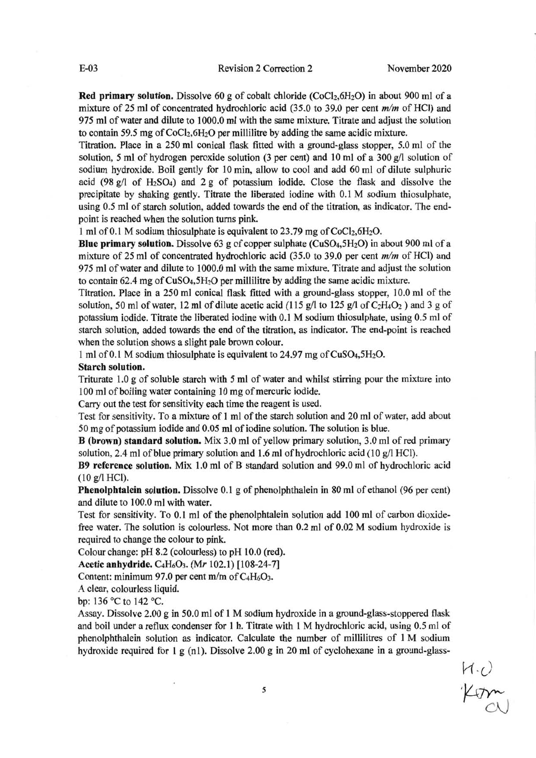**Red primary solution.** Dissolve 60 g of cobalt chloride (CoCl<sub>2</sub>,6H<sub>2</sub>O) in about 900 ml of a mixture of 25 ml of concentrated hydrochloric acid (35.0 to 39.0 per cent  $m/m$  of HCl) and 975 ml of water and dilute to 1000.0 ml with the same mixture. Titrate and adjust the solution to contain 59.5 mg of CoCl<sub>2</sub>,6H<sub>2</sub>O per millilitre by adding the same acidic mixture.

Titration. Place in a 250 ml conical flask fitted with a ground-glass stopper, 5.0 ml of the solution, 5 ml of hydrogen peroxide solution (3 per cent) and 10 ml of a 300 g/l solution of sodium hydroxide. Boil gently for 10 min, allow to cool and add 60 ml of dilute sulphuric acid (98  $g/l$  of H<sub>2</sub>SO<sub>4</sub>) and 2 g of potassium iodide. Close the flask and dissolve the precipitate by shaking gently. Titrate the liberated iodine with 0.1 M sodium thiosulphate, using 0.5 ml of starch solution, added towards the end of the titration, as indicator. The endpoint is reached when the solution turns pink.

1 ml of 0.1 M sodium thiosulphate is equivalent to 23.79 mg of CoCl<sub>2</sub>,6H<sub>2</sub>O.

Blue primary solution. Dissolve 63 g of copper sulphate ( $CuSO<sub>4</sub>,5H<sub>2</sub>O$ ) in about 900 ml of a mixture of 25 ml of concentrated hydrochloric acid  $(35.0 \text{ to } 39.0 \text{ per cent } m/m$  of HCl) and 975 ml of water and dilute to 1000.0 ml with the same mixture. Titrate and adjust the solution to contain 62.4 mg of CuSO<sub>4</sub>,5H<sub>2</sub>O per millilitre by adding the same acidic mixture.

Titration. Place in a 250 ml conical flask fitted with a ground-glass stopper, 10.0 ml of the solution, 50 ml of water, 12 ml of dilute acetic acid (115 g/l to 125 g/l of  $C_2H_4O_2$ ) and 3 g of potassium iodide. Titrate the liberated iodine with 0.1 M sodium thiosulphate, using 0.5 ml of starch solution, added towards the end of the titration, as indicator. The end-point is reached when the solution shows a slight pale brown colour.

1 ml of 0.1 M sodium thiosulphate is equivalent to 24.97 mg of CuSO<sub>4</sub>,5H<sub>2</sub>O.

#### **Starch solution.**

Triturate 1.0 g of soluble starch with 5 ml of water and whilst stirring pour the mixture into 100 ml of boiling water containing 10 mg of mercuric iodide.

Carry out the test for sensitivity each time the reagent is used.

Test for sensitivity. To a mixture of 1 ml of the starch solution and 20 ml of water, add about 50 mg of potassium iodide and 0.05 ml of iodine solution. The solution is blue.

**B** (brown) standard solution. Mix 3.0 ml of yellow primary solution, 3.0 ml of red primary solution, 2.4 ml of blue primary solution and 1.6 ml of hydrochloric acid (10  $g$ /l HCl).

B9 reference solution. Mix 1.0 ml of B standard solution and 99.0 ml of hydrochloric acid  $(10 g/I HCl)$ .

Phenolphtalein solution. Dissolve 0.1 g of phenolphthalein in 80 ml of ethanol (96 per cent) and dilute to 100.0 ml with water.

Test for sensitivity. To 0.1 ml of the phenolphtalein solution add 100 ml of carbon dioxidefree water. The solution is colourless. Not more than 0.2 ml of 0.02 M sodium hydroxide is required to change the colour to pink.

Colour change: pH 8.2 (colourless) to pH 10.0 (red).

Acetic anhydride. C<sub>4</sub>H<sub>6</sub>O<sub>3</sub>. (Mr 102.1) [108-24-7]

Content: minimum 97.0 per cent m/m of  $C_4H_6O_3$ .

A clear, colourless liquid.

bp: 136 °C to 142 °C.

Assay. Dissolve 2.00 g in 50.0 ml of 1 M sodium hydroxide in a ground-glass-stoppered flask and boil under a reflux condenser for 1 h. Titrate with 1 M hydrochloric acid, using 0.5 ml of phenolphthalein solution as indicator. Calculate the number of millilitres of 1 M sodium hydroxide required for 1 g (n1). Dissolve 2.00 g in 20 ml of cyclohexane in a ground-glass-

H.U